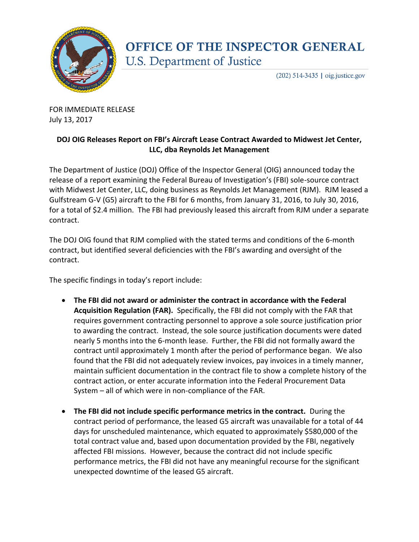

## **OFFICE OF THE INSPECTOR GENERAL** U.S. Department of Justice

 $(202)$  514-3435 | oig.justice.gov

FOR IMMEDIATE RELEASE July 13, 2017

## **DOJ OIG Releases Report on FBI's Aircraft Lease Contract Awarded to Midwest Jet Center, LLC, dba Reynolds Jet Management**

The Department of Justice (DOJ) Office of the Inspector General (OIG) announced today the release of a report examining the Federal Bureau of Investigation's (FBI) sole-source contract with Midwest Jet Center, LLC, doing business as Reynolds Jet Management (RJM). RJM leased a Gulfstream G-V (G5) aircraft to the FBI for 6 months, from January 31, 2016, to July 30, 2016, for a total of \$2.4 million. The FBI had previously leased this aircraft from RJM under a separate contract.

The DOJ OIG found that RJM complied with the stated terms and conditions of the 6-month contract, but identified several deficiencies with the FBI's awarding and oversight of the contract.

The specific findings in today's report include:

- **The FBI did not award or administer the contract in accordance with the Federal Acquisition Regulation (FAR).** Specifically, the FBI did not comply with the FAR that requires government contracting personnel to approve a sole source justification prior to awarding the contract. Instead, the sole source justification documents were dated nearly 5 months into the 6-month lease. Further, the FBI did not formally award the contract until approximately 1 month after the period of performance began. We also found that the FBI did not adequately review invoices, pay invoices in a timely manner, maintain sufficient documentation in the contract file to show a complete history of the contract action, or enter accurate information into the Federal Procurement Data System – all of which were in non-compliance of the FAR.
- **The FBI did not include specific performance metrics in the contract.** During the contract period of performance, the leased G5 aircraft was unavailable for a total of 44 days for unscheduled maintenance, which equated to approximately \$580,000 of the total contract value and, based upon documentation provided by the FBI, negatively affected FBI missions. However, because the contract did not include specific performance metrics, the FBI did not have any meaningful recourse for the significant unexpected downtime of the leased G5 aircraft.